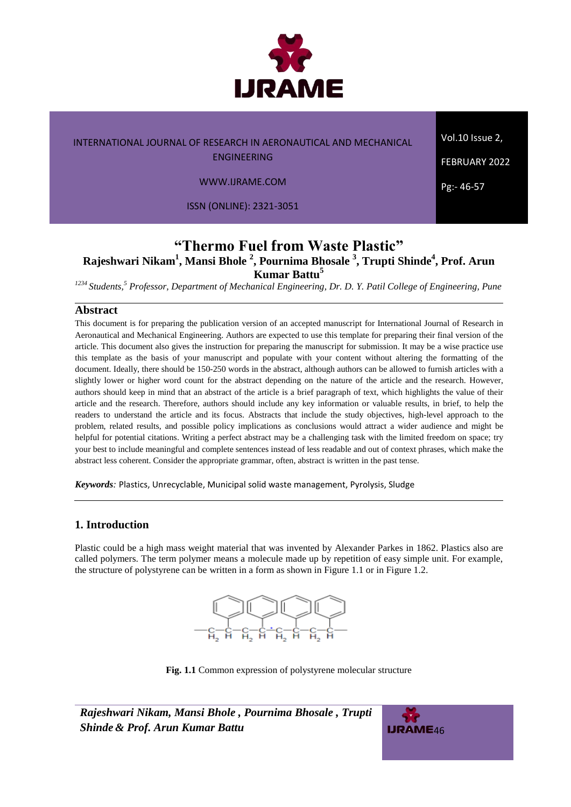

WWW.IJRAME.COM

ISSN (ONLINE): 2321-3051

Vol.10 Issue 2,

FEBRUARY 2022

Pg:- 46-57

# **"Thermo Fuel from Waste Plastic" Rajeshwari Nikam<sup>1</sup> , Mansi Bhole <sup>2</sup> , Pournima Bhosale <sup>3</sup> , Trupti Shinde 4 , Prof. Arun Kumar Battu<sup>5</sup>**

*<sup>1234</sup>Students, <sup>5</sup> Professor, Department of Mechanical Engineering, Dr. D. Y. Patil College of Engineering, Pune*

# **Abstract**

This document is for preparing the publication version of an accepted manuscript for International Journal of Research in Aeronautical and Mechanical Engineering. Authors are expected to use this template for preparing their final version of the article. This document also gives the instruction for preparing the manuscript for submission. It may be a wise practice use this template as the basis of your manuscript and populate with your content without altering the formatting of the document. Ideally, there should be 150-250 words in the abstract, although authors can be allowed to furnish articles with a slightly lower or higher word count for the abstract depending on the nature of the article and the research. However, authors should keep in mind that an abstract of the article is a brief paragraph of text, which highlights the value of their article and the research. Therefore, authors should include any key information or valuable results, in brief, to help the readers to understand the article and its focus. Abstracts that include the study objectives, high-level approach to the problem, related results, and possible policy implications as conclusions would attract a wider audience and might be helpful for potential citations. Writing a perfect abstract may be a challenging task with the limited freedom on space; try your best to include meaningful and complete sentences instead of less readable and out of context phrases, which make the abstract less coherent. Consider the appropriate grammar, often, abstract is written in the past tense.

*Keywords:* Plastics, Unrecyclable, Municipal solid waste management, Pyrolysis, Sludge

### **1. Introduction**

Plastic could be a high mass weight material that was invented by Alexander Parkes in 1862. Plastics also are called polymers. The term polymer means a molecule made up by repetition of easy simple unit. For example, the structure of polystyrene can be written in a form as shown in Figure 1.1 or in Figure 1.2.



**Fig. 1.1** Common expression of polystyrene molecular structure

*Rajeshwari Nikam, Mansi Bhole , Pournima Bhosale , Trupti Shinde & Prof. Arun Kumar Battu* 46

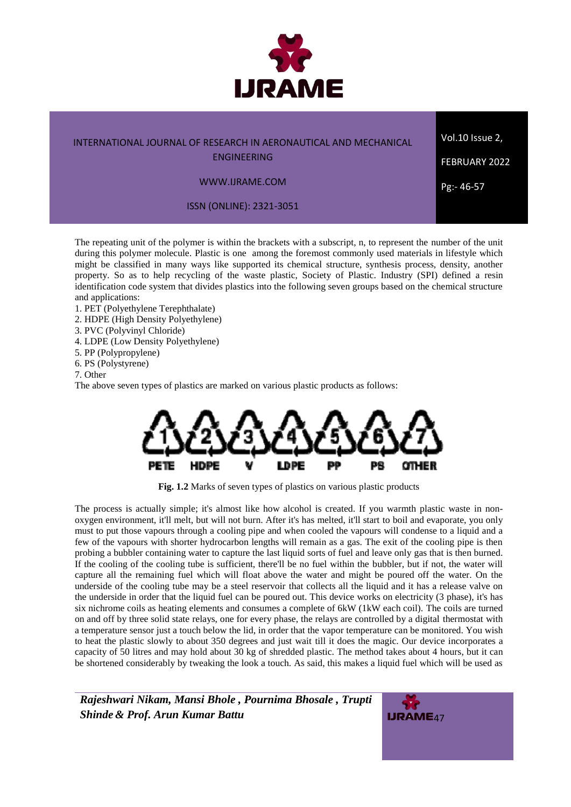

ENGINEERING

### WWW.IJRAME.COM

ISSN (ONLINE): 2321-3051

The repeating unit of the polymer is within the brackets with a subscript, n, to represent the number of the unit during this polymer molecule. Plastic is one among the foremost commonly used materials in lifestyle which might be classified in many ways like supported its chemical structure, synthesis process, density, another property. So as to help recycling of the waste plastic, Society of Plastic. Industry (SPI) defined a resin identification code system that divides plastics into the following seven groups based on the chemical structure and applications:

- 1. PET (Polyethylene Terephthalate)
- 2. HDPE (High Density Polyethylene)
- 3. PVC (Polyvinyl Chloride)
- 4. LDPE (Low Density Polyethylene)
- 5. PP (Polypropylene)
- 6. PS (Polystyrene)

7. Other

The above seven types of plastics are marked on various plastic products as follows:



Fig. 1.2 Marks of seven types of plastics on various plastic products

The process is actually simple; it's almost like how alcohol is created. If you warmth plastic waste in nonoxygen environment, it'll melt, but will not burn. After it's has melted, it'll start to boil and evaporate, you only must to put those vapours through a cooling pipe and when cooled the vapours will condense to a liquid and a few of the vapours with shorter hydrocarbon lengths will remain as a gas. The exit of the cooling pipe is then probing a bubbler containing water to capture the last liquid sorts of fuel and leave only gas that is then burned. If the cooling of the cooling tube is sufficient, there'll be no fuel within the bubbler, but if not, the water will capture all the remaining fuel which will float above the water and might be poured off the water. On the underside of the cooling tube may be a steel reservoir that collects all the liquid and it has a release valve on the underside in order that the liquid fuel can be poured out. This device works on electricity (3 phase), it's has six nichrome coils as heating elements and consumes a complete of 6kW (1kW each coil). The coils are turned on and off by three solid state relays, one for every phase, the relays are controlled by a digital thermostat with a temperature sensor just a touch below the lid, in order that the vapor temperature can be monitored. You wish to heat the plastic slowly to about 350 degrees and just wait till it does the magic. Our device incorporates a capacity of 50 litres and may hold about 30 kg of shredded plastic. The method takes about 4 hours, but it can be shortened considerably by tweaking the look a touch. As said, this makes a liquid fuel which will be used as

*Rajeshwari Nikam, Mansi Bhole , Pournima Bhosale , Trupti* **Shinde & Prof. Arun Kumar Battu** 47



Vol.10 Issue 2,

FEBRUARY 2022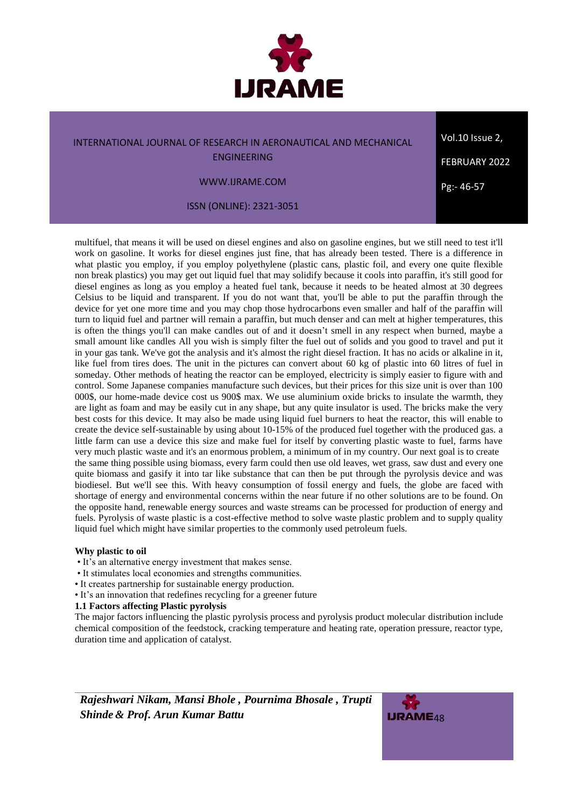

ENGINEERING

WWW.IJRAME.COM

ISSN (ONLINE): 2321-3051

multifuel, that means it will be used on diesel engines and also on gasoline engines, but we still need to test it'll work on gasoline. It works for diesel engines just fine, that has already been tested. There is a difference in what plastic you employ, if you employ polyethylene (plastic cans, plastic foil, and every one quite flexible non break plastics) you may get out liquid fuel that may solidify because it cools into paraffin, it's still good for diesel engines as long as you employ a heated fuel tank, because it needs to be heated almost at 30 degrees Celsius to be liquid and transparent. If you do not want that, you'll be able to put the paraffin through the device for yet one more time and you may chop those hydrocarbons even smaller and half of the paraffin will turn to liquid fuel and partner will remain a paraffin, but much denser and can melt at higher temperatures, this is often the things you'll can make candles out of and it doesn't smell in any respect when burned, maybe a small amount like candles All you wish is simply filter the fuel out of solids and you good to travel and put it in your gas tank. We've got the analysis and it's almost the right diesel fraction. It has no acids or alkaline in it, like fuel from tires does. The unit in the pictures can convert about 60 kg of plastic into 60 litres of fuel in someday. Other methods of heating the reactor can be employed, electricity is simply easier to figure with and control. Some Japanese companies manufacture such devices, but their prices for this size unit is over than 100 000\$, our home-made device cost us 900\$ max. We use aluminium oxide bricks to insulate the warmth, they are light as foam and may be easily cut in any shape, but any quite insulator is used. The bricks make the very best costs for this device. It may also be made using liquid fuel burners to heat the reactor, this will enable to create the device self-sustainable by using about 10-15% of the produced fuel together with the produced gas. a little farm can use a device this size and make fuel for itself by converting plastic waste to fuel, farms have very much plastic waste and it's an enormous problem, a minimum of in my country. Our next goal is to create the same thing possible using biomass, every farm could then use old leaves, wet grass, saw dust and every one quite biomass and gasify it into tar like substance that can then be put through the pyrolysis device and was biodiesel. But we'll see this. With heavy consumption of fossil energy and fuels, the globe are faced with shortage of energy and environmental concerns within the near future if no other solutions are to be found. On the opposite hand, renewable energy sources and waste streams can be processed for production of energy and fuels. Pyrolysis of waste plastic is a cost-effective method to solve waste plastic problem and to supply quality liquid fuel which might have similar properties to the commonly used petroleum fuels.

### **Why plastic to oil**

- It's an alternative energy investment that makes sense.
- It stimulates local economies and strengths communities.
- It creates partnership for sustainable energy production.
- It's an innovation that redefines recycling for a greener future

### **1.1 Factors affecting Plastic pyrolysis**

The major factors influencing the plastic pyrolysis process and pyrolysis product molecular distribution include chemical composition of the feedstock, cracking temperature and heating rate, operation pressure, reactor type, duration time and application of catalyst.



Vol.10 Issue 2, FEBRUARY 2022 Pg:- 46-57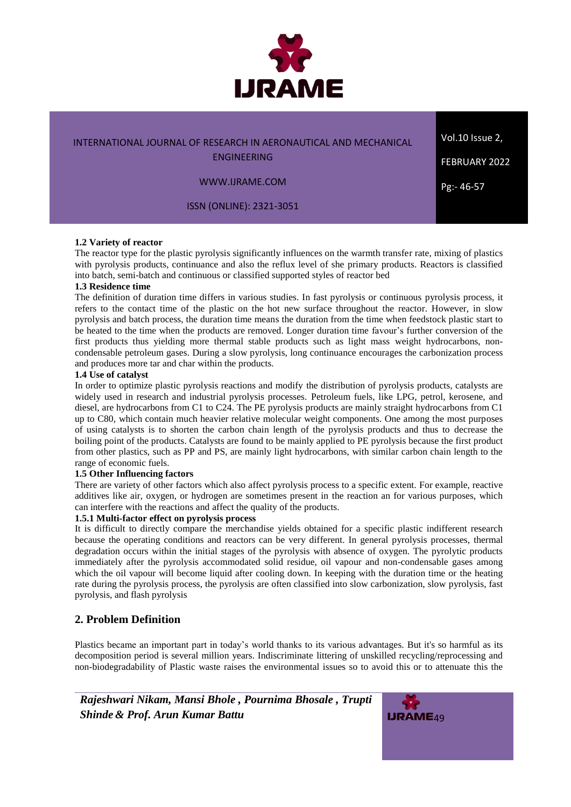

ENGINEERING

WWW.IJRAME.COM

ISSN (ONLINE): 2321-3051

#### **1.2 Variety of reactor**

The reactor type for the plastic pyrolysis significantly influences on the warmth transfer rate, mixing of plastics with pyrolysis products, continuance and also the reflux level of she primary products. Reactors is classified into batch, semi-batch and continuous or classified supported styles of reactor bed

### **1.3 Residence time**

The definition of duration time differs in various studies. In fast pyrolysis or continuous pyrolysis process, it refers to the contact time of the plastic on the hot new surface throughout the reactor. However, in slow pyrolysis and batch process, the duration time means the duration from the time when feedstock plastic start to be heated to the time when the products are removed. Longer duration time favour's further conversion of the first products thus yielding more thermal stable products such as light mass weight hydrocarbons, noncondensable petroleum gases. During a slow pyrolysis, long continuance encourages the carbonization process and produces more tar and char within the products.

#### **1.4 Use of catalyst**

In order to optimize plastic pyrolysis reactions and modify the distribution of pyrolysis products, catalysts are widely used in research and industrial pyrolysis processes. Petroleum fuels, like LPG, petrol, kerosene, and diesel, are hydrocarbons from C1 to C24. The PE pyrolysis products are mainly straight hydrocarbons from C1 up to C80, which contain much heavier relative molecular weight components. One among the most purposes of using catalysts is to shorten the carbon chain length of the pyrolysis products and thus to decrease the boiling point of the products. Catalysts are found to be mainly applied to PE pyrolysis because the first product from other plastics, such as PP and PS, are mainly light hydrocarbons, with similar carbon chain length to the range of economic fuels.

### **1.5 Other Influencing factors**

There are variety of other factors which also affect pyrolysis process to a specific extent. For example, reactive additives like air, oxygen, or hydrogen are sometimes present in the reaction an for various purposes, which can interfere with the reactions and affect the quality of the products.

### **1.5.1 Multi-factor effect on pyrolysis process**

It is difficult to directly compare the merchandise yields obtained for a specific plastic indifferent research because the operating conditions and reactors can be very different. In general pyrolysis processes, thermal degradation occurs within the initial stages of the pyrolysis with absence of oxygen. The pyrolytic products immediately after the pyrolysis accommodated solid residue, oil vapour and non-condensable gases among which the oil vapour will become liquid after cooling down. In keeping with the duration time or the heating rate during the pyrolysis process, the pyrolysis are often classified into slow carbonization, slow pyrolysis, fast pyrolysis, and flash pyrolysis

# **2. Problem Definition**

Plastics became an important part in today's world thanks to its various advantages. But it's so harmful as its decomposition period is several million years. Indiscriminate littering of unskilled recycling/reprocessing and non-biodegradability of Plastic waste raises the environmental issues so to avoid this or to attenuate this the



Vol.10 Issue 2,

FEBRUARY 2022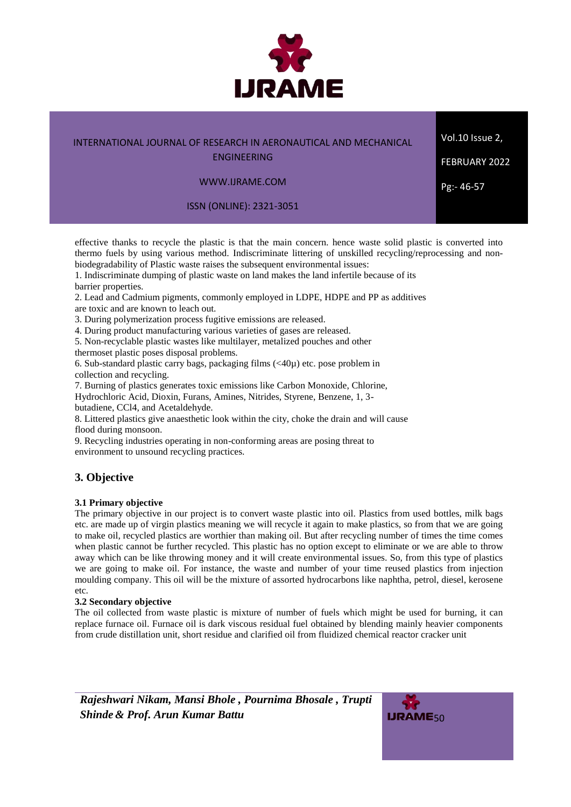

Vol.10 Issue 2,

FEBRUARY 2022

Pg:- 46-57

ENGINEERING

### WWW.IJRAME.COM

ISSN (ONLINE): 2321-3051

effective thanks to recycle the plastic is that the main concern. hence waste solid plastic is converted into thermo fuels by using various method. Indiscriminate littering of unskilled recycling/reprocessing and nonbiodegradability of Plastic waste raises the subsequent environmental issues:

1. Indiscriminate dumping of plastic waste on land makes the land infertile because of its barrier properties.

2. Lead and Cadmium pigments, commonly employed in LDPE, HDPE and PP as additives

are toxic and are known to leach out.

3. During polymerization process fugitive emissions are released.

4. During product manufacturing various varieties of gases are released.

5. Non-recyclable plastic wastes like multilayer, metalized pouches and other thermoset plastic poses disposal problems.

6. Sub-standard plastic carry bags, packaging films  $\left(\langle 40\mu \rangle \right)$  etc. pose problem in collection and recycling.

7. Burning of plastics generates toxic emissions like Carbon Monoxide, Chlorine,

Hydrochloric Acid, Dioxin, Furans, Amines, Nitrides, Styrene, Benzene, 1, 3-

butadiene, CCl4, and Acetaldehyde.

8. Littered plastics give anaesthetic look within the city, choke the drain and will cause flood during monsoon.

9. Recycling industries operating in non-conforming areas are posing threat to environment to unsound recycling practices.

# **3. Objective**

### **3.1 Primary objective**

The primary objective in our project is to convert waste plastic into oil. Plastics from used bottles, milk bags etc. are made up of virgin plastics meaning we will recycle it again to make plastics, so from that we are going to make oil, recycled plastics are worthier than making oil. But after recycling number of times the time comes when plastic cannot be further recycled. This plastic has no option except to eliminate or we are able to throw away which can be like throwing money and it will create environmental issues. So, from this type of plastics we are going to make oil. For instance, the waste and number of your time reused plastics from injection moulding company. This oil will be the mixture of assorted hydrocarbons like naphtha, petrol, diesel, kerosene etc.

### **3.2 Secondary objective**

The oil collected from waste plastic is mixture of number of fuels which might be used for burning, it can replace furnace oil. Furnace oil is dark viscous residual fuel obtained by blending mainly heavier components from crude distillation unit, short residue and clarified oil from fluidized chemical reactor cracker unit

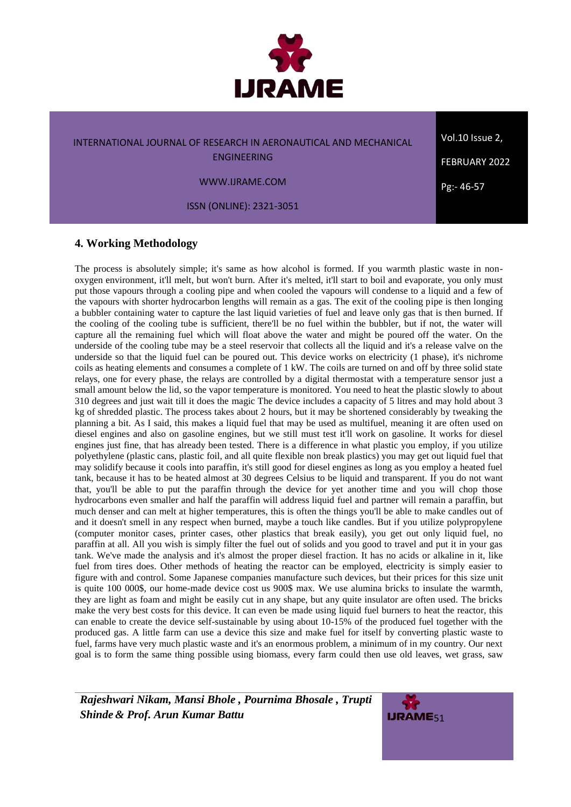

ENGINEERING

WWW.IJRAME.COM

ISSN (ONLINE): 2321-3051

# **4. Working Methodology**

The process is absolutely simple; it's same as how alcohol is formed. If you warmth plastic waste in nonoxygen environment, it'll melt, but won't burn. After it's melted, it'll start to boil and evaporate, you only must put those vapours through a cooling pipe and when cooled the vapours will condense to a liquid and a few of the vapours with shorter hydrocarbon lengths will remain as a gas. The exit of the cooling pipe is then longing a bubbler containing water to capture the last liquid varieties of fuel and leave only gas that is then burned. If the cooling of the cooling tube is sufficient, there'll be no fuel within the bubbler, but if not, the water will capture all the remaining fuel which will float above the water and might be poured off the water. On the underside of the cooling tube may be a steel reservoir that collects all the liquid and it's a release valve on the underside so that the liquid fuel can be poured out. This device works on electricity (1 phase), it's nichrome coils as heating elements and consumes a complete of 1 kW. The coils are turned on and off by three solid state relays, one for every phase, the relays are controlled by a digital thermostat with a temperature sensor just a small amount below the lid, so the vapor temperature is monitored. You need to heat the plastic slowly to about 310 degrees and just wait till it does the magic The device includes a capacity of 5 litres and may hold about 3 kg of shredded plastic. The process takes about 2 hours, but it may be shortened considerably by tweaking the planning a bit. As I said, this makes a liquid fuel that may be used as multifuel, meaning it are often used on diesel engines and also on gasoline engines, but we still must test it'll work on gasoline. It works for diesel engines just fine, that has already been tested. There is a difference in what plastic you employ, if you utilize polyethylene (plastic cans, plastic foil, and all quite flexible non break plastics) you may get out liquid fuel that may solidify because it cools into paraffin, it's still good for diesel engines as long as you employ a heated fuel tank, because it has to be heated almost at 30 degrees Celsius to be liquid and transparent. If you do not want that, you'll be able to put the paraffin through the device for yet another time and you will chop those hydrocarbons even smaller and half the paraffin will address liquid fuel and partner will remain a paraffin, but much denser and can melt at higher temperatures, this is often the things you'll be able to make candles out of and it doesn't smell in any respect when burned, maybe a touch like candles. But if you utilize polypropylene (computer monitor cases, printer cases, other plastics that break easily), you get out only liquid fuel, no paraffin at all. All you wish is simply filter the fuel out of solids and you good to travel and put it in your gas tank. We've made the analysis and it's almost the proper diesel fraction. It has no acids or alkaline in it, like fuel from tires does. Other methods of heating the reactor can be employed, electricity is simply easier to figure with and control. Some Japanese companies manufacture such devices, but their prices for this size unit is quite 100 000\$, our home-made device cost us 900\$ max. We use alumina bricks to insulate the warmth, they are light as foam and might be easily cut in any shape, but any quite insulator are often used. The bricks make the very best costs for this device. It can even be made using liquid fuel burners to heat the reactor, this can enable to create the device self-sustainable by using about 10-15% of the produced fuel together with the produced gas. A little farm can use a device this size and make fuel for itself by converting plastic waste to fuel, farms have very much plastic waste and it's an enormous problem, a minimum of in my country. Our next goal is to form the same thing possible using biomass, every farm could then use old leaves, wet grass, saw

*Rajeshwari Nikam, Mansi Bhole , Pournima Bhosale , Trupti* **Shinde & Prof. Arun Kumar Battu** 51



Vol.10 Issue 2, FEBRUARY 2022 Pg:- 46-57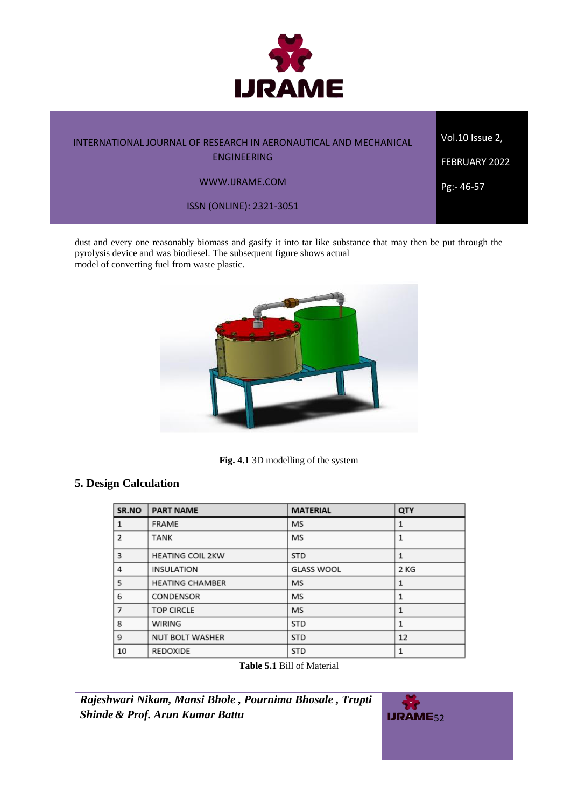

Vol.10 Issue 2,

ENGINEERING

WWW.IJRAME.COM

ISSN (ONLINE): 2321-3051

dust and every one reasonably biomass and gasify it into tar like substance that may then be put through the pyrolysis device and was biodiesel. The subsequent figure shows actual model of converting fuel from waste plastic.



**Fig. 4.1** 3D modelling of the system

# **5. Design Calculation**

| SR.NO          | <b>PART NAME</b>        | <b>MATERIAL</b>   | QTY          |
|----------------|-------------------------|-------------------|--------------|
| $\mathbf{1}$   | <b>FRAME</b>            | <b>MS</b>         |              |
| 2              | <b>TANK</b>             | MS                | $\mathbf{1}$ |
| 3              | <b>HEATING COIL 2KW</b> | <b>STD</b>        | 1            |
| 4              | <b>INSULATION</b>       | <b>GLASS WOOL</b> | 2 KG         |
| 5              | <b>HEATING CHAMBER</b>  | <b>MS</b>         | 1            |
| 6              | CONDENSOR               | <b>MS</b>         | 1            |
| $\overline{7}$ | <b>TOP CIRCLE</b>       | <b>MS</b>         | 1            |
| 8              | <b>WIRING</b>           | <b>STD</b>        | $\mathbf{1}$ |
| 9              | <b>NUT BOLT WASHER</b>  | <b>STD</b>        | 12           |
| 10             | <b>REDOXIDE</b>         | <b>STD</b>        | 1            |

**Table 5.1** Bill of Material

*Rajeshwari Nikam, Mansi Bhole , Pournima Bhosale , Trupti Shinde* & *Prof. Arun Kumar Battu* 52



FEBRUARY 2022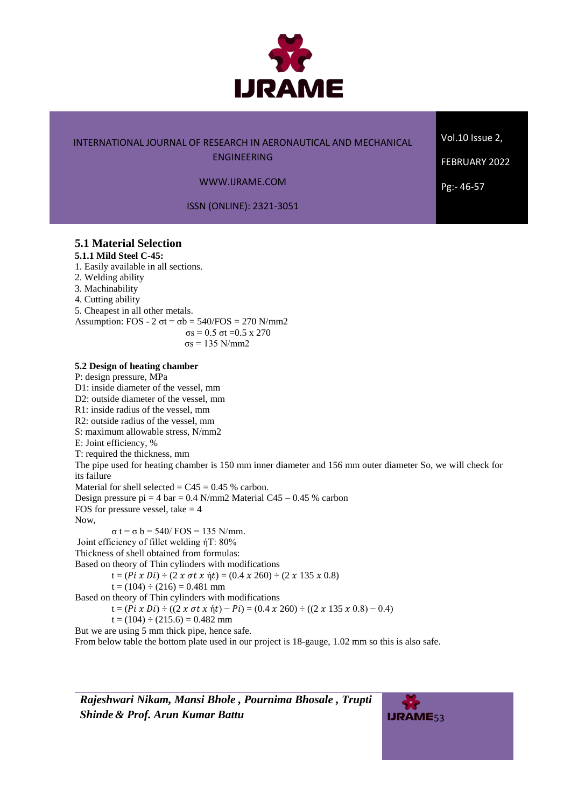

ENGINEERING

Vol.10 Issue 2,

FEBRUARY 2022

Pg:- 46-57

WWW.IJRAME.COM

ISSN (ONLINE): 2321-3051

### **5.1 Material Selection**

# **5.1.1 Mild Steel C-45:**

1. Easily available in all sections.

2. Welding ability

3. Machinability

4. Cutting ability

5. Cheapest in all other metals. Assumption: FOS - 2  $\sigma t = \sigma b = 540$ /FOS = 270 N/mm2 σs = 0.5 σt = 0.5 x 270

 $σs = 135 N/mm2$ 

### **5.2 Design of heating chamber**

P: design pressure, MPa D1: inside diameter of the vessel, mm D2: outside diameter of the vessel, mm R1: inside radius of the vessel, mm R2: outside radius of the vessel, mm S: maximum allowable stress, N/mm2 E: Joint efficiency, % T: required the thickness, mm The pipe used for heating chamber is 150 mm inner diameter and 156 mm outer diameter So, we will check for its failure Material for shell selected  $= C45 = 0.45$  % carbon. Design pressure pi = 4 bar =  $0.4$  N/mm2 Material C45 –  $0.45$  % carbon FOS for pressure vessel, take  $= 4$ Now,  $σ t = σ b = 540 / FOS = 135 N/mm.$ Joint efficiency of fillet welding ήT: 80% Thickness of shell obtained from formulas: Based on theory of Thin cylinders with modifications  $t = (Pi \times Di) \div (2 \times \sigma t \times \eta t) = (0.4 \times 260) \div (2 \times 135 \times 0.8)$  $t = (104) \div (216) = 0.481$  mm Based on theory of Thin cylinders with modifications  $t = (Pi \times Di) \div ((2 \times \sigma t \times \eta t) - Pi) = (0.4 \times 260) \div ((2 \times 135 \times 0.8) - 0.4)$  $t = (104) \div (215.6) = 0.482$  mm But we are using 5 mm thick pipe, hence safe.

From below table the bottom plate used in our project is 18-gauge, 1.02 mm so this is also safe.

*Rajeshwari Nikam, Mansi Bhole , Pournima Bhosale , Trupti* **Shinde & Prof. Arun Kumar Battu** 53

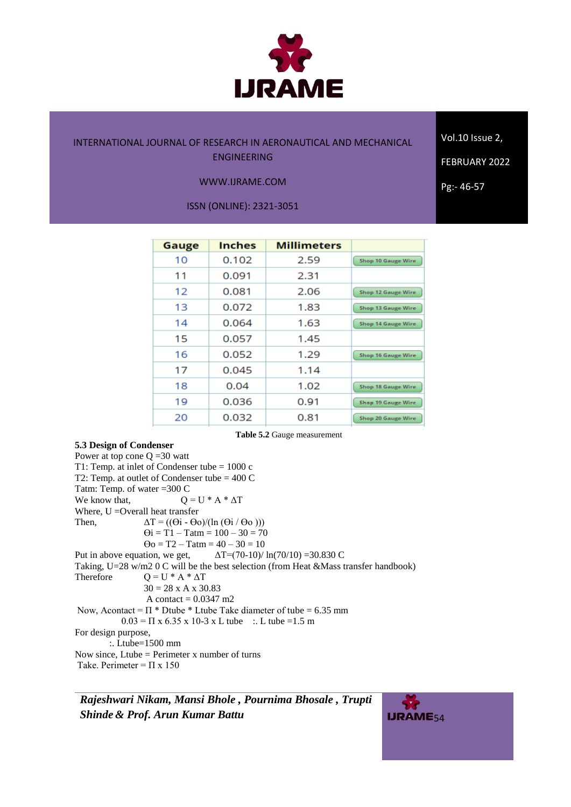

Vol.10 Issue 2,

### WWW.IJRAME.COM

ISSN (ONLINE): 2321-3051

| Gauge | <b>Inches</b> | <b>Millimeters</b> |                           |
|-------|---------------|--------------------|---------------------------|
| 10    | 0.102         | 2.59               | <b>Shop 10 Gauge Wire</b> |
| 11    | 0.091         | 2.31               |                           |
| 12    | 0.081         | 2.06               | <b>Shop 12 Gauge Wire</b> |
| 13    | 0.072         | 1.83               | <b>Shop 13 Gauge Wire</b> |
| 14    | 0.064         | 1.63               | Shop 14 Gauge Wire        |
| 15    | 0.057         | 1.45               |                           |
| 16    | 0.052         | 1.29               | Shop 16 Gauge Wire        |
| 17    | 0.045         | 1.14               |                           |
| 18    | 0.04          | 1.02               | Shop 18 Gauge Wire        |
| 19    | 0.036         | 0.91               | <b>Shop 19 Gauge Wire</b> |
| 20    | 0.032         | 0.81               | <b>Shop 20 Gauge Wire</b> |

**Table 5.2** Gauge measurement

### **5.3 Design of Condenser**

Power at top cone  $Q = 30$  watt T1: Temp. at inlet of Condenser tube = 1000 c T2: Temp. at outlet of Condenser tube = 400 C Tatm: Temp. of water =300 C We know that,  $Q = U^* A^* \Delta T$ Where, U = Overall heat transfer Then,  $\Delta T = ((\Theta i - \Theta o)/(ln (\Theta i / \Theta o)))$  $\Theta$ **i** = T1 – Tatm = 100 – 30 = 70  $\Theta$ o = T2 – Tatm = 40 – 30 = 10 Put in above equation, we get,  $\Delta T = (70-10)/ \ln(70/10) = 30.830 \text{ C}$ Taking, U=28 w/m2 0 C will be the best selection (from Heat &Mass transfer handbook) Therefore  $Q = U * A * \Delta T$  $30 = 28$  x A x 30.83 A contact  $= 0.0347$  m2 Now, Acontact =  $\Pi$  \* Dtube \* Ltube Take diameter of tube = 6.35 mm  $0.03 = \Pi x 6.35 x 10-3 x L$  tube :. L tube =1.5 m For design purpose, :. Ltube=1500 mm Now since, Ltube = Perimeter x number of turns

Take. Perimeter =  $\Pi$  x 150

*Rajeshwari Nikam, Mansi Bhole , Pournima Bhosale , Trupti* **Shinde & Prof. Arun Kumar Battu** 54



FEBRUARY 2022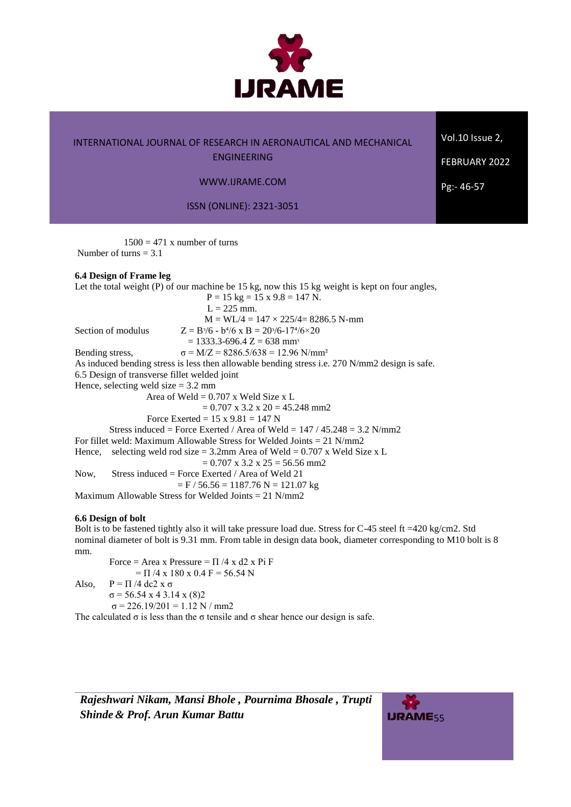

ENGINEERING

### WWW.IJRAME.COM

ISSN (ONLINE): 2321-3051

 $1500 = 471$  x number of turns Number of turns  $= 3.1$ 

### **6.4 Design of Frame leg**

Let the total weight (P) of our machine be 15 kg, now this 15 kg weight is kept on four angles,  $P = 15$  kg = 15 x 9.8 = 147 N.  $L = 225$  mm.  $M = WL/4 = 147 \times 225/4 = 8286.5 N-mm$ Section of modulus  $Z = B^{3}/6 - b^{4}/6$  x  $B = 20^{3}/6 - 17^{4}/6 \times 20$  $= 1333.3 - 696.4$  Z = 638 mm<sup>3</sup> Bending stress,  $\sigma = M/Z = 8286.5/638 = 12.96 \text{ N/mm}^2$ As induced bending stress is less then allowable bending stress i.e. 270 N/mm2 design is safe. 6.5 Design of transverse fillet welded joint Hence, selecting weld size  $= 3.2$  mm Area of Weld  $= 0.707$  x Weld Size x L  $= 0.707$  x 3.2 x 20 = 45.248 mm2 Force Exerted =  $15 \times 9.81 = 147$  N Stress induced = Force Exerted / Area of Weld =  $147 / 45.248 = 3.2$  N/mm2 For fillet weld: Maximum Allowable Stress for Welded Joints = 21 N/mm2 Hence, selecting weld rod size = 3.2mm Area of Weld =  $0.707$  x Weld Size x L  $= 0.707$  x 3.2 x 25 = 56.56 mm2 Now, Stress induced = Force Exerted / Area of Weld 21  $=$  F / 56.56 = 1187.76 N = 121.07 kg Maximum Allowable Stress for Welded Joints  $= 21$  N/mm2

### **6.6 Design of bolt**

Bolt is to be fastened tightly also it will take pressure load due. Stress for C-45 steel ft =420 kg/cm2. Std nominal diameter of bolt is 9.31 mm. From table in design data book, diameter corresponding to M10 bolt is 8 mm.

Force = Area x Pressure =  $\Pi$  /4 x d2 x Pi F  $= \Pi / 4 \times 180 \times 0.4$  F = 56.54 N Also,  $P = \Pi/4$  dc2 x  $\sigma$  $σ = 56.54 \times 43.14 \times (8)2$  $σ = 226.19/201 = 1.12 N / mm2$ 

The calculated  $\sigma$  is less than the  $\sigma$  tensile and  $\sigma$  shear hence our design is safe.

*Rajeshwari Nikam, Mansi Bhole , Pournima Bhosale , Trupti* **Shinde & Prof. Arun Kumar Battu** 55



Vol.10 Issue 2,

FEBRUARY 2022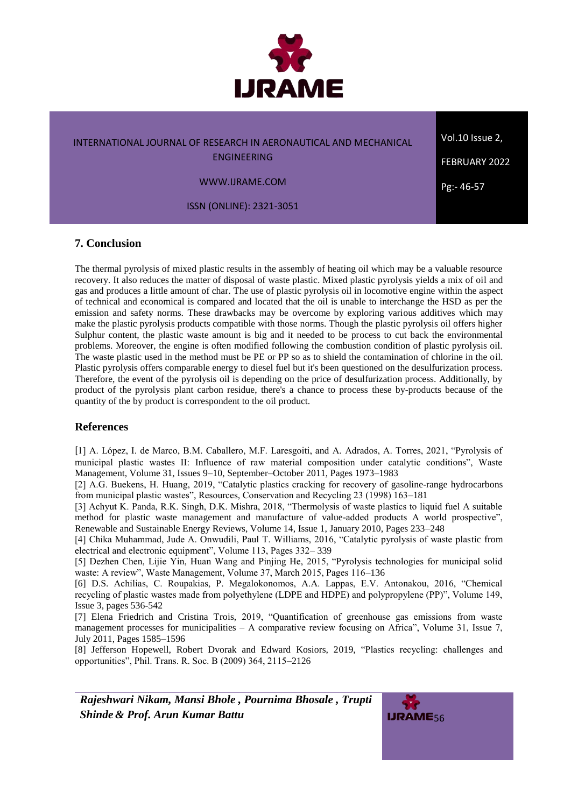

ENGINEERING

WWW.IJRAME.COM

ISSN (ONLINE): 2321-3051

# **7. Conclusion**

The thermal pyrolysis of mixed plastic results in the assembly of heating oil which may be a valuable resource recovery. It also reduces the matter of disposal of waste plastic. Mixed plastic pyrolysis yields a mix of oil and gas and produces a little amount of char. The use of plastic pyrolysis oil in locomotive engine within the aspect of technical and economical is compared and located that the oil is unable to interchange the HSD as per the emission and safety norms. These drawbacks may be overcome by exploring various additives which may make the plastic pyrolysis products compatible with those norms. Though the plastic pyrolysis oil offers higher Sulphur content, the plastic waste amount is big and it needed to be process to cut back the environmental problems. Moreover, the engine is often modified following the combustion condition of plastic pyrolysis oil. The waste plastic used in the method must be PE or PP so as to shield the contamination of chlorine in the oil. Plastic pyrolysis offers comparable energy to diesel fuel but it's been questioned on the desulfurization process. Therefore, the event of the pyrolysis oil is depending on the price of desulfurization process. Additionally, by product of the pyrolysis plant carbon residue, there's a chance to process these by-products because of the quantity of the by product is correspondent to the oil product.

# **References**

[1] A. López, I. de Marco, B.M. Caballero, M.F. Laresgoiti, and A. Adrados, A. Torres, 2021, "Pyrolysis of municipal plastic wastes II: Influence of raw material composition under catalytic conditions", Waste Management, Volume 31, Issues 9–10, September–October 2011, Pages 1973–1983

[2] A.G. Buekens, H. Huang, 2019, "Catalytic plastics cracking for recovery of gasoline-range hydrocarbons from municipal plastic wastes", Resources, Conservation and Recycling 23 (1998) 163–181

[3] Achyut K. Panda, R.K. Singh, D.K. Mishra, 2018, "Thermolysis of waste plastics to liquid fuel A suitable method for plastic waste management and manufacture of value-added products A world prospective", Renewable and Sustainable Energy Reviews, Volume 14, Issue 1, January 2010, Pages 233–248

[4] Chika Muhammad, Jude A. Onwudili, Paul T. Williams, 2016, "Catalytic pyrolysis of waste plastic from electrical and electronic equipment", Volume 113, Pages 332– 339

[5] Dezhen Chen, Lijie Yin, Huan Wang and Pinjing He, 2015, "Pyrolysis technologies for municipal solid waste: A review", Waste Management, Volume 37, March 2015, Pages 116–136

[6] D.S. Achilias, C. Roupakias, P. Megalokonomos, A.A. Lappas, E.V. Antonakou, 2016, "Chemical recycling of plastic wastes made from polyethylene (LDPE and HDPE) and polypropylene (PP)", Volume 149, Issue 3, pages 536-542

[7] Elena Friedrich and Cristina Trois, 2019, "Quantification of greenhouse gas emissions from waste management processes for municipalities – A comparative review focusing on Africa", Volume 31, Issue 7, July 2011, Pages 1585–1596

[8] Jefferson Hopewell, Robert Dvorak and Edward Kosiors, 2019, "Plastics recycling: challenges and opportunities", Phil. Trans. R. Soc. B (2009) 364, 2115–2126

*Rajeshwari Nikam, Mansi Bhole , Pournima Bhosale , Trupti* **Shinde & Prof. Arun Kumar Battu** 56



Vol.10 Issue 2, FEBRUARY 2022 Pg:- 46-57